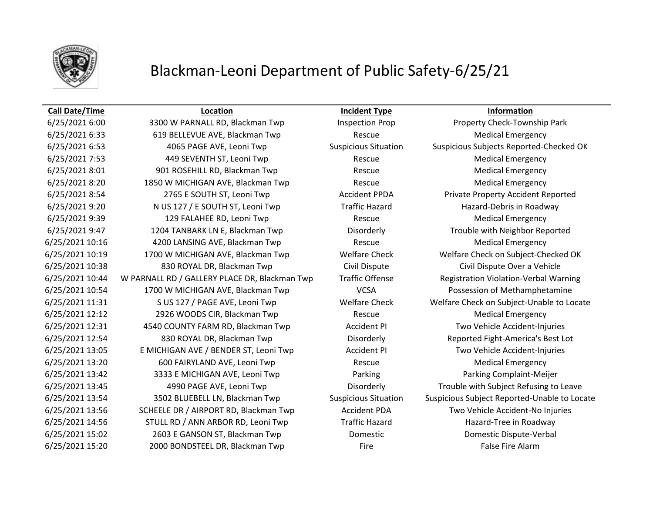

# Blackman-Leoni Department of Public Safety-6/25/21

# **Call Date/Time Location Incident Type Information**

6/25/2021 6:33 619 BELLEVUE AVE, Blackman Twp Rescue Medical Emergency 6/25/2021 7:53 449 SEVENTH ST, Leoni Twp Rescue Medical Emergency 6/25/2021 8:01 901 ROSEHILL RD, Blackman Twp Rescue Rescue Medical Emergency 6/25/2021 8:20 1850 W MICHIGAN AVE, Blackman Twp Rescue Medical Emergency 6/25/2021 8:54 2765 E SOUTH ST, Leoni Twp Accident PPDA Private Property Accident Reported 6/25/2021 9:20 N US 127 / E SOUTH ST, Leoni Twp Traffic Hazard Hazard-Debris in Roadway 6/25/2021 9:39 129 FALAHEE RD, Leoni Twp Rescue Rescue Medical Emergency 6/25/2021 9:47 1204 TANBARK LN E, Blackman Twp Disorderly Trouble with Neighbor Reported 6/25/2021 10:16 4200 LANSING AVE, Blackman Twp Rescue Medical Emergency 6/25/2021 10:38 830 ROYAL DR, Blackman Twp Civil Dispute Civil Dispute Over a Vehicle 6/25/2021 10:44 W PARNALL RD / GALLERY PLACE DR, Blackman Twp Traffic Offense Registration Violation-Verbal Warning 6/25/2021 10:54 1700 W MICHIGAN AVE, Blackman Twp VCSA Possession of Methamphetamine 6/25/2021 12:12 2926 WOODS CIR, Blackman Twp Rescue Medical Emergency 6/25/2021 12:31 4540 COUNTY FARM RD, Blackman Twp **Accident PI** Two Vehicle Accident-Injuries 6/25/2021 12:54 830 ROYAL DR, Blackman Twp Disorderly Reported Fight-America's Best Lot 6/25/2021 13:05 E MICHIGAN AVE / BENDER ST, Leoni Twp Accident PI Two Vehicle Accident-Injuries 6/25/2021 13:20 600 FAIRYLAND AVE, Leoni Twp Rescue Rescue Medical Emergency 6/25/2021 13:42 3333 E MICHIGAN AVE, Leoni Twp Parking Parking Complaint-Meijer 6/25/2021 13:56 SCHEELE DR / AIRPORT RD, Blackman Twp Accident PDA Two Vehicle Accident-No Injuries 6/25/2021 14:56 STULL RD / ANN ARBOR RD, Leoni Twp Traffic Hazard Hazard Hazard-Tree in Roadway 6/25/2021 15:02 2603 E GANSON ST, Blackman Twp Domestic Domestic Dispute-Verbal 6/25/2021 15:20 2000 BONDSTEEL DR, Blackman Twp Fire False Fire Alarm

6/25/2021 6:00 3300 W PARNALL RD, Blackman Twp Inspection Prop Property Check-Township Park 6/25/2021 6:53 4065 PAGE AVE, Leoni Twp Suspicious Situation Suspicious Subjects Reported-Checked OK 6/25/2021 10:19 1700 W MICHIGAN AVE, Blackman Twp Welfare Check Welfare Check on Subject-Checked OK 6/25/2021 11:31 S US 127 / PAGE AVE, Leoni Twp Welfare Check Welfare Check on Subject-Unable to Locate 6/25/2021 13:45 4990 PAGE AVE, Leoni Twp Disorderly Disorderly Trouble with Subject Refusing to Leave 6/25/2021 13:54 3502 BLUEBELL LN, Blackman Twp Suspicious Situation Suspicious Subject Reported-Unable to Locate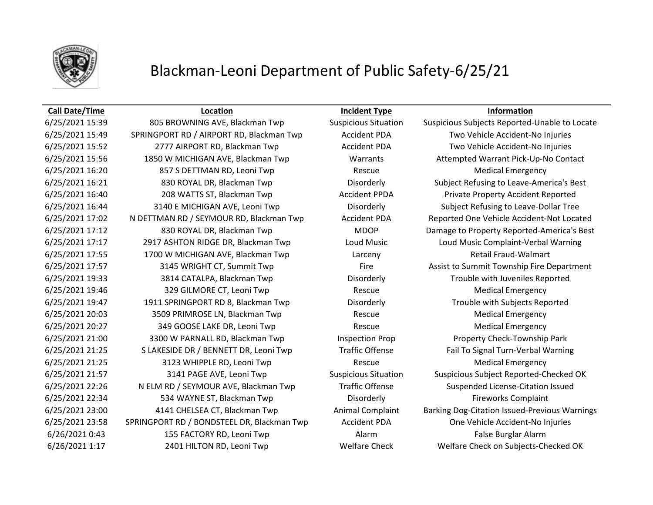

# Blackman-Leoni Department of Public Safety-6/25/21

# **Call Date/Time Location Incident Type Information**

6/25/2021 15:49 SPRINGPORT RD / AIRPORT RD, Blackman Twp Accident PDA Two Vehicle Accident-No Injuries 6/25/2021 15:52 2777 AIRPORT RD, Blackman Twp Accident PDA Two Vehicle Accident-No Injuries 6/25/2021 15:56 1850 W MICHIGAN AVE, Blackman Twp Warrants Attempted Warrant Pick-Up-No Contact 6/25/2021 16:20 857 S DETTMAN RD, Leoni Twp Rescue Medical Emergency 6/25/2021 16:21 830 ROYAL DR, Blackman Twp Disorderly Subject Refusing to Leave-America's Best 6/25/2021 16:40 208 WATTS ST, Blackman Twp Accident PPDA Private Property Accident Reported 6/25/2021 16:44 3140 E MICHIGAN AVE, Leoni Twp Disorderly Subject Refusing to Leave-Dollar Tree 6/25/2021 17:02 N DETTMAN RD / SEYMOUR RD, Blackman Twp Accident PDA Reported One Vehicle Accident-Not Located 6/25/2021 17:12 830 ROYAL DR, Blackman Twp MDOP Damage to Property Reported-America's Best 6/25/2021 17:17 2917 ASHTON RIDGE DR, Blackman Twp Loud Music Loud Music Complaint-Verbal Warning 6/25/2021 17:55 1700 W MICHIGAN AVE, Blackman Twp Larceny Retail Fraud-Walmart 6/25/2021 17:57 3145 WRIGHT CT, Summit Twp Fire Fire Assist to Summit Township Fire Department 6/25/2021 19:33 3814 CATALPA, Blackman Twp Disorderly Trouble with Juveniles Reported 6/25/2021 19:46 329 GILMORE CT, Leoni Twp Rescue Medical Emergency 6/25/2021 19:47 1911 SPRINGPORT RD 8, Blackman Twp Disorderly Trouble with Subjects Reported 6/25/2021 20:03 3509 PRIMROSE LN, Blackman Twp Rescue Rescue Medical Emergency 6/25/2021 20:27 349 GOOSE LAKE DR, Leoni Twp Rescue Rescue Medical Emergency 6/25/2021 21:00 3300 W PARNALL RD, Blackman Twp Inspection Prop Property Check-Township Park 6/25/2021 21:25 S LAKESIDE DR / BENNETT DR, Leoni Twp Traffic Offense Fail To Signal Turn-Verbal Warning 6/25/2021 21:25 3123 WHIPPLE RD, Leoni Twp Rescue Rescue Medical Emergency 6/25/2021 21:57 3141 PAGE AVE, Leoni Twp Suspicious Situation Suspicious Subject Reported-Checked OK 6/25/2021 22:26 N ELM RD / SEYMOUR AVE, Blackman Twp Traffic Offense Suspended License-Citation Issued 6/25/2021 22:34 534 WAYNE ST, Blackman Twp **Disorderly Example 1** Fireworks Complaint 6/25/2021 23:58 SPRINGPORT RD / BONDSTEEL DR, Blackman Twp Accident PDA One Vehicle Accident-No Injuries 6/26/2021 0:43 155 FACTORY RD, Leoni Twp Alarm False Burglar Alarm 6/26/2021 1:17 2401 HILTON RD, Leoni Twp Welfare Check Welfare Check on Subjects-Checked OK

6/25/2021 15:39 805 BROWNING AVE, Blackman Twp Suspicious Situation Suspicious Subjects Reported-Unable to Locate 6/25/2021 23:00 4141 CHELSEA CT, Blackman Twp Animal Complaint Barking Dog-Citation Issued-Previous Warnings